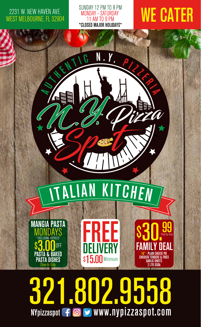## 2231 W. NEW HAVEN AVE. WEST MELBOURNE, FL 32904

## SUNDAY 12 PM TO 8 PM MONDAY - SATURDAY 11 AM TO 9 PM \*CLOSED MAJOR HOLIDAYS\*

# **WE CATER**

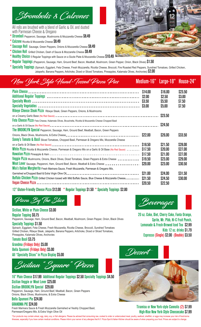Strombolis *&* Calzones

All rolls are brushed with a blend of Garlic & Oil, and dusted with Parmesan Cheese & Oregano

- \* Stromboli Pepperoni, Sausage, Mushrooms & Mozzarella Cheese \$8.49
- \* Calzone Ricotta & Mozzarella Cheese \$8.49
- \* Sausage Roll Sausage, Green Peppers, Onions & Mozzarella Cheese \$8.49
- \* Chicken Roll Grilled Chicken, Dash of Sauce & Mozzarella Cheese \$8.49
- \* Healthy Choice 5 Regular Toppings with Sauce on a Sizzle Plate & Mozzarella Cheese \$10.49
- \* Regular Toppings (Pepperoni, Sausage, Ham, Ground Beef, Bacon, Meatball, Mushroom, Green Pepper, Onion, Black Olives) \$1.50
- \* Specialty Toppings (Spinach, Eggplant, Feta Cheese, Fresh Mozzarella, Ricotta Cheese, Broccoli, Fire Roasted Red Peppers, Sundried Tomatoes, Grilled Chicken, Jalapeño, Banana Peppers, Artichoke, Diced or Sliced Tomatoes, Pineapples, Kalamata Olives, Anchovies) \$2.00

| New York Style Hand-Tossed Pizza Pies                                                                                                                                                                                       | Medium-16"                                          | Large-18" House-24"                              |                                       |
|-----------------------------------------------------------------------------------------------------------------------------------------------------------------------------------------------------------------------------|-----------------------------------------------------|--------------------------------------------------|---------------------------------------|
| <b>Ribeye Cheese Steak Pizza</b> Ribeye Steak, Green Peppers, Onions, & Mushrooms<br><b>Feta Cheese Pizza</b> Feta Cheese, Kalamata Olives, Bruschetta, Ricotta & Mozzarella Cheese Chopped Basil                           | \$14.00<br><b>\$2.00</b><br>\$3.50<br><b>\$3.00</b> | \$16.00<br>\$2.50<br>\$5.50<br>\$5.00<br>\$23.50 | \$23.50<br>\$3.00<br>\$7.50<br>\$7.50 |
| The BROOKLYN Special Pepperoni, Sausage, Ham, Ground Beef, Meatball, Bacon, Green Peppers                                                                                                                                   | \$22.00                                             | \$24.50<br><b>\$26.00</b>                        | \$33.50                               |
| Sonny's Tomato & Basil Sliced Tomatoes, Chopped Basil, Parmesan & Oregano Mix, Mozzarella Cheese<br>White Pizza Ricotta & Mozzarella Cheese, Parmesan & Oregano Mix on a Garlic & Oil Base (No Red Sauce) ________          | \$18.50<br>\$17.50                                  | \$21.50<br>\$20.00                               | \$28.00<br>\$27.00                    |
| Veggie Pizza Mushrooms, Onions, Black Olives, Diced Tomatoes, Green Peppers & Extra Cheese _____________<br>Meat LOVer Sausage, Pepperoni, Ham, Ground Beef, Bacon, Meatball & Extra Cheese _ _ _ _ _ _ _ _ _ _ _ _ _ _ _ _ | \$17.50<br>\$19.50<br><b>\$20.00</b>                | \$21.00<br>\$23.00<br><b>\$23.00</b>             | \$27.00<br>\$29.00<br>\$30.50         |
| Mia's Italian Margherita Fresh Marinara Sauce, Fresh Mozzarella, Parmesan & Oregano Mix,<br>Buffalo Chicken Pizza Grilled Chicken tossed with Mild Buffalo Sauce, Blue Cheese & Mozzarella Cheese                           | \$21.00<br>\$21.50<br><b>\$20.50</b>                | <b>\$24.00</b><br><b>\$24.50</b><br>\$22.50      | \$31.50<br>\$30.00                    |

#### 12" Gluten-Friendly Cheese Pizza \$12.00 \* Regular Toppings \$1.50 \* Specialty Toppings \$2.00



Sicilian, White or Plain Cheese \$3.00 Regular Topping \$0.75 Pepperoni, Sausage, Ham, Ground Beef, Bacon, Meatball, Mushroom, Green Pepper, Onion, Black Olives Specialty Toppings \$1.50

Spinach, Eggplant, Feta Cheese, Fresh Mozzarella, Ricotta Cheese, Broccoli, Sundried Tomatoes Grilled Chicken, Ribeye Steak, Jalapeño, Banana Peppers, Artichoke, Diced or Sliced Tomatoes, Pineapples, Kalamata Olives, Anchovies

Tomato Basil \$3.75 Grandma (Fridays Only) \$5.00 Bella Spumoni (Fridays Only) \$5.00 All "Specialty Slices" in Pizza Display \$5.00

Sicilian "Square" Pizza

16" Plain Cheese \$17.99 Additional Regular Toppings \$2.50 Specialty Toppings \$4.50 Sicilian Veggie or Meat Lover \$25.00 Sicilian BROOKLYN Special \$29.00 Pepperoni, Sausage, Ham, Ground Beef, Meatball, Bacon, Green Peppers

Bella Spumoni Pie \$24.00 Onions, Black Olives, Mushrooms, & Extra Cheese

## GRANDMA PIE \$24.00

Fresh Marinara Sauce & Fresh Mozzarella Garnished w/ freshly Chopped Basil, Parmesan/Oregano Mix, & Extra Virgin Olive Oil



20 oz. Coke, Diet, Cherry Coke, Fanta Orange, Sprite, Mr. Pibb, Hi-C Fruit Punch, Lemonade & Fresh-Brewed Iced Tea \$2.99 Kids 12 oz. drinks \$1.79 Espresso (Single) \$2.00 (Double) \$3.50



Tiramisu or New York-style Cannolis (2) \$7.99 High-Rise New York-Style Cheesecake \$7.99

\*Our products may contain wheat, egg, dairy, soy, or fish allergens. Please be advised that consuming raw, cooked to order or undercooked meat, poultry, seafood, shellfish, or eggs may increase your risk of food-borne illnesses, especially if you have certain medical conditions. Please inform your server of any allergies that N.Y. Pizza Spot & Italian Kitchen should be aware of when preparing your food. Prices are subject to change.

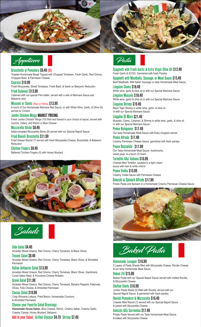



Bruschetta al Pomodoro \$9.49 (6) Toasted Homemade Bread Topped with Chopped Tomatoes, Fresh Garlic, Red Onions, Chopped Basil, & Parmesan Cheese

Caprese \$10.99 Fresh Mozzarella, Sliced Tomatoes, Fresh Basil, & Garlic w/ Balsamic Reduction Fried Calamari \$13.99

Calamari with our special Fish batter, served with a side of Marinara Sauce and Balsamic aioli

Mussels or Clams (Red or White) \$13.99 A touch of Our Homemade Marinara Red Sauce, or with White Wine, Garlic, & Olive Oil, served w/ Crostini

Jumbo Chicken Wings MARKET PRICING Fresh Jumbo Chicken Wings (10) fried and tossed in your choice of sauce, served with Carrots, Celery, and Ranch or Blue Cheese

Mozzarella Sticks \$8.49 Italian-breaded Mozzarella Sticks (6) served with our Special Napoli Sauce Fried Ravioli Bruschetta \$11.99

Fried cheese Ravioli (7) served with fresh Mozzarella Cheese, Bruschetta, & Balsamic Reduction

Chicken Fingers \$8.49 Battered Chicken Fingers (5) with Honey Mustard





Side Salad \$4.49 Arcadian Mixed Greens, Red Onions, Cherry Tomatoes, & Black Olives Tossed Salad \$9.49

Arcadian Mixed Greens, Red Onions, Cherry Tomatoes, Black Olives, & Shredded Parmesan

Italian Antipasto Salad \$13.99 Arcadian Mixed Greens, Red Onions, Cherry Tomatoes, Black Olives, Giardiniera, Cured Italian Meat, & Provolone Cheese Rollatini

### Greek Salad \$11.99

Arcadian Mixed Greens, Red Onions, Cherry Tomatoes, Banana Peppers, Kalamata Olives, Feta Cheese, & Shredded Parmesan

### Caesar Salad \$10.99

Crisp Romaine Lettuce, Fried Bacon, Homemade Croutons, & Shredded Parmesan

Choose your Favorite Salad Dressings:

**Homemade House Italian**, Blue Cheese, Ranch, Creamy Italian, Creamy Garlic, Creamy Caesar, Honey Mustard, Balsamic

Add to your Salad: Grilled Chicken \$4.79 Shrimp \$7.49



Spaghetti with Fresh Garlic & Extra Virgin Olive Oil \$12.49 Fresh Garlic & EVOO, Garnished with fresh Parsley Spaghetti with Meatballs, Sausage, or Meat Sauce \$15.49

Beef Meatballs, Mild Italian Sausage or tasty Homemade Meat Sauce Linguine Clams \$18.49

White wine, garlic & olive oil or with our Special Marinara Sauce Linguine Mussels \$18.49

White wine, garlic & olive oil or with our Special Marinara Sauce Linguine Shrimp \$19.49

Black Tiger Shrimp in white wine, garlic, & olive oil or with our Special Marinara Sauce

Linguine Di Mare \$21.49 Mussels, Clams, Calamari, & Shrimp in white wine, garlic, & olive oil or with our Special Marinara Sauce

Penne Bolognese \$17.49 Our tasty Homemade Meat Sauce with finely chopped carrots

Penne Alfredo \$17.49 Creamy Parmesan Cheese Sauce, garnished with fresh parsley

Penne Boscaiola \$17.99 Our Tasty Homemade Meat Sauce, mushrooms, sweet peas, & a touch of cream

Tortellini Alla' Italiana \$16.99 Cheese-filled Tortellini, sautéed in a light cream sauce with ham & white onions

Penne Vodka \$15.99 Creamy Vodka Sauce with Parmesan Cheese

Gnocchi & Spinach Alfredo \$17.99 Potato Pasta and Spinach in a Homemade Creamy Parmesan Cheese Sauce



Baked Pasta

Homemade Lasagna \$16.99

5 Layers of Pasta Sheets filled with Mozzarella Cheese, Ricotta Cheese & our tasty Homemade Meat Sauce

Baked Ziti \$15.99

Baked Pasta with our Special Napoli Sauce served with melted Ricotta, & Mozzarella Cheese

Stuffed Shells \$16.99

Jumbo Pasta Shells (5) filled with Ricotta, served with our Special Napoli Sauce, & garnished with fresh parsley

Ravioli Pomodoro & Mozzarella \$16.49 Cheese filled Ravioli (7) served with our Special Napoli Sauce & baked with Mozzarella Cheese

Gnocchi Alla Sorrentina \$17.49 Potato Pasta Served with our Tasty Homemade Meat Sauce, & baked with Mozzarella Cheese